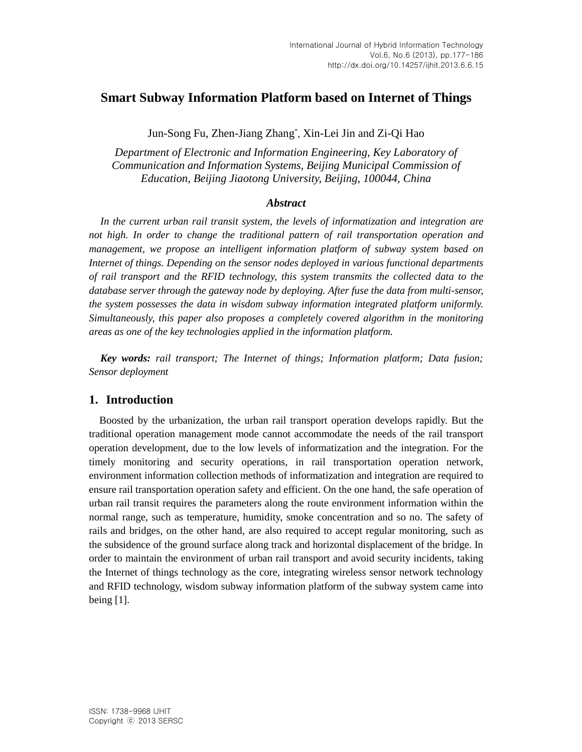# **Smart Subway Information Platform based on Internet of Things**

Jun-Song Fu, Zhen-Jiang Zhang\* , Xin-Lei Jin and Zi-Qi Hao

*Department of Electronic and Information Engineering, Key Laboratory of Communication and Information Systems, Beijing Municipal Commission of Education, Beijing Jiaotong University, Beijing, 100044, China*

## *Abstract*

*In the current urban rail transit system, the levels of informatization and integration are not high. In order to change the traditional pattern of rail transportation operation and management, we propose an intelligent information platform of subway system based on Internet of things. Depending on the sensor nodes deployed in various functional departments of rail transport and the RFID technology, this system transmits the collected data to the database server through the gateway node by deploying. After fuse the data from multi-sensor, the system possesses the data in wisdom subway information integrated platform uniformly. Simultaneously, this paper also proposes a completely covered algorithm in the monitoring areas as one of the key technologies applied in the information platform.*

*Key words: rail transport; The Internet of things; Information platform; Data fusion; Sensor deployment*

# **1. Introduction**

Boosted by the urbanization, the urban rail transport operation develops rapidly. But the traditional operation management mode cannot accommodate the needs of the rail transport operation development, due to the low levels of informatization and the integration. For the timely monitoring and security operations, in rail transportation operation network, environment information collection methods of informatization and integration are required to ensure rail transportation operation safety and efficient. On the one hand, the safe operation of urban rail transit requires the parameters along the route environment information within the normal range, such as temperature, humidity, smoke concentration and so no. The safety of rails and bridges, on the other hand, are also required to accept regular monitoring, such as the subsidence of the ground surface along track and horizontal displacement of the bridge. In order to maintain the environment of urban rail transport and avoid security incidents, taking the Internet of things technology as the core, integrating wireless sensor network technology and RFID technology, wisdom subway information platform of the subway system came into being [1].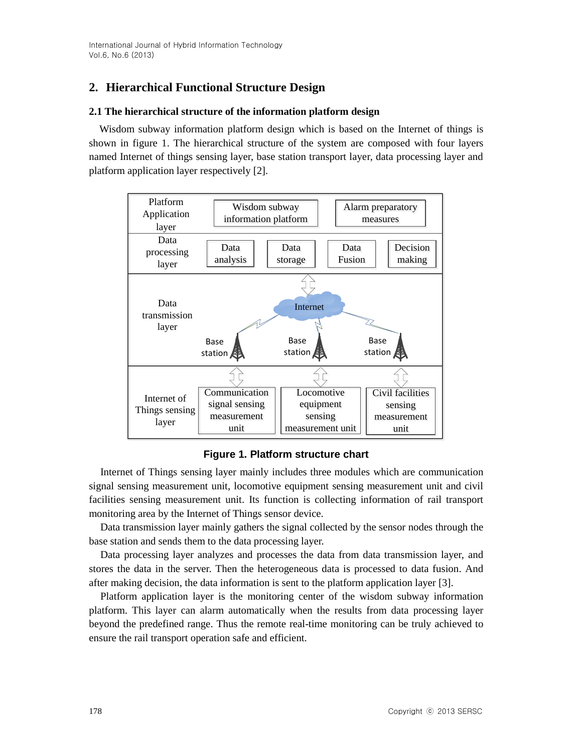# **2. Hierarchical Functional Structure Design**

# **2.1 The hierarchical structure of the information platform design**

Wisdom subway information platform design which is based on the Internet of things is shown in figure 1. The hierarchical structure of the system are composed with four layers named Internet of things sensing layer, base station transport layer, data processing layer and platform application layer respectively [2].



**Figure 1. Platform structure chart**

Internet of Things sensing layer mainly includes three modules which are communication signal sensing measurement unit, locomotive equipment sensing measurement unit and civil facilities sensing measurement unit. Its function is collecting information of rail transport monitoring area by the Internet of Things sensor device.

Data transmission layer mainly gathers the signal collected by the sensor nodes through the base station and sends them to the data processing layer.

Data processing layer analyzes and processes the data from data transmission layer, and stores the data in the server. Then the heterogeneous data is processed to data fusion. And after making decision, the data information is sent to the platform application layer [3].

Platform application layer is the monitoring center of the wisdom subway information platform. This layer can alarm automatically when the results from data processing layer beyond the predefined range. Thus the remote real-time monitoring can be truly achieved to ensure the rail transport operation safe and efficient.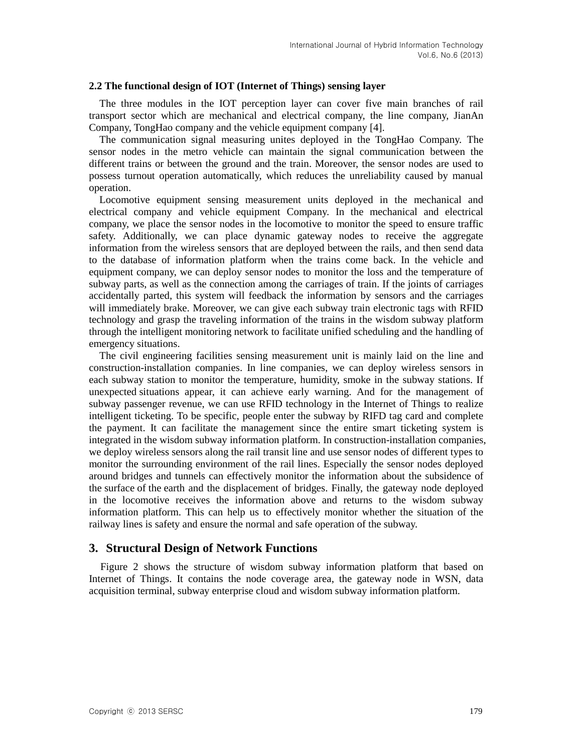### **2.2 The functional design of IOT (Internet of Things) sensing layer**

The three modules in the IOT perception layer can cover five main branches of rail transport sector which are mechanical and electrical company, the line company, JianAn Company, TongHao company and the vehicle equipment company [4].

The communication signal measuring unites deployed in the TongHao Company. The sensor nodes in the metro vehicle can maintain the signal communication between the different trains or between the ground and the train. Moreover, the sensor nodes are used to possess turnout operation automatically, which reduces the unreliability caused by manual operation.

Locomotive equipment sensing measurement units deployed in the mechanical and electrical company and vehicle equipment Company. In the mechanical and electrical company, we place the sensor nodes in the locomotive to monitor the speed to ensure traffic safety. Additionally, we can place dynamic gateway nodes to receive the aggregate information from the wireless sensors that are deployed between the rails, and then send data to the database of information platform when the trains come back. In the vehicle and equipment company, we can deploy sensor nodes to monitor the loss and the temperature of subway parts, as well as the connection among the carriages of train. If the joints of carriages accidentally parted, this system will feedback the information by sensors and the carriages will immediately brake. Moreover, we can give each subway train electronic tags with RFID technology and grasp the traveling information of the trains in the wisdom subway platform through the intelligent monitoring network to facilitate unified scheduling and the handling of emergency situations.

The civil engineering facilities sensing measurement unit is mainly laid on the line and construction-installation companies. In line companies, we can deploy wireless sensors in each subway station to monitor the temperature, humidity, smoke in the subway stations. If unexpected situations appear, it can achieve early warning. And for the management of subway passenger revenue, we can use RFID technology in the Internet of Things to realize intelligent ticketing. To be specific, people enter the subway by RIFD tag card and complete the payment. It can facilitate the management since the entire smart ticketing system is integrated in the wisdom subway information platform. In construction-installation companies, we deploy wireless sensors along the rail transit line and use sensor nodes of different types to monitor the surrounding environment of the rail lines. Especially the sensor nodes deployed around bridges and tunnels can effectively monitor the information about the subsidence of the surface of the earth and the displacement of bridges. Finally, the gateway node deployed in the locomotive receives the information above and returns to the wisdom subway information platform. This can help us to effectively monitor whether the situation of the railway lines is safety and ensure the normal and safe operation of the subway.

# **3. Structural Design of Network Functions**

Figure 2 shows the structure of wisdom subway information platform that based on Internet of Things. It contains the node coverage area, the gateway node in WSN, data acquisition terminal, subway enterprise cloud and wisdom subway information platform.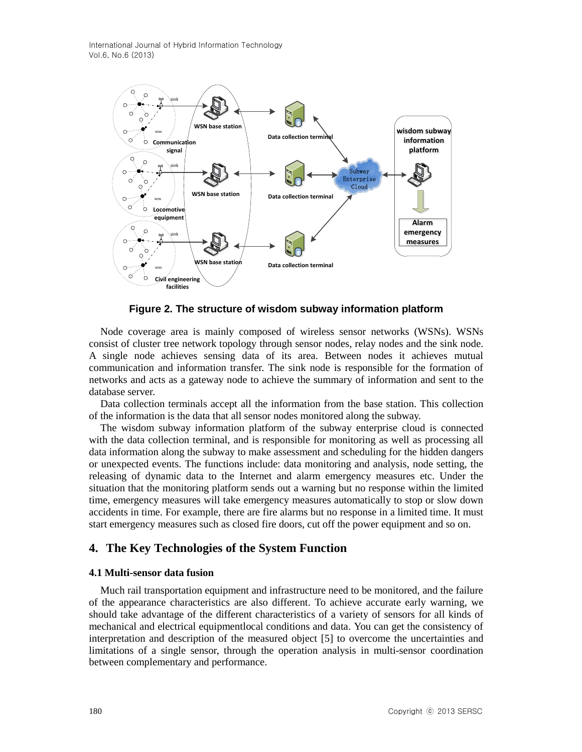

**Figure 2. The structure of wisdom subway information platform**

Node coverage area is mainly composed of wireless sensor networks (WSNs). WSNs consist of cluster tree network topology through sensor nodes, relay nodes and the sink node. A single node achieves sensing data of its area. Between nodes it achieves mutual communication and information transfer. The sink node is responsible for the formation of networks and acts as a gateway node to achieve the summary of information and sent to the database server.

Data collection terminals accept all the information from the base station. This collection of the information is the data that all sensor nodes monitored along the subway.

The wisdom subway information platform of the subway enterprise cloud is connected with the data collection terminal, and is responsible for monitoring as well as processing all data information along the subway to make assessment and scheduling for the hidden dangers or unexpected events. The functions include: data monitoring and analysis, node setting, the releasing of dynamic data to the Internet and alarm emergency measures etc. Under the situation that the monitoring platform sends out a warning but no response within the limited time, emergency measures will take emergency measures automatically to stop or slow down accidents in time. For example, there are fire alarms but no response in a limited time. It must start emergency measures such as closed fire doors, cut off the power equipment and so on.

# **4. The Key Technologies of the System Function**

#### **4.1 Multi-sensor data fusion**

Much rail transportation equipment and infrastructure need to be monitored, and the failure of the appearance characteristics are also different. To achieve accurate early warning, we should take advantage of the different characteristics of a variety of sensors for all kinds of mechanical and electrical equipmentlocal conditions and data. You can get the consistency of interpretation and description of the measured object [5] to overcome the uncertainties and limitations of a single sensor, through the operation analysis in multi-sensor coordination between complementary and performance.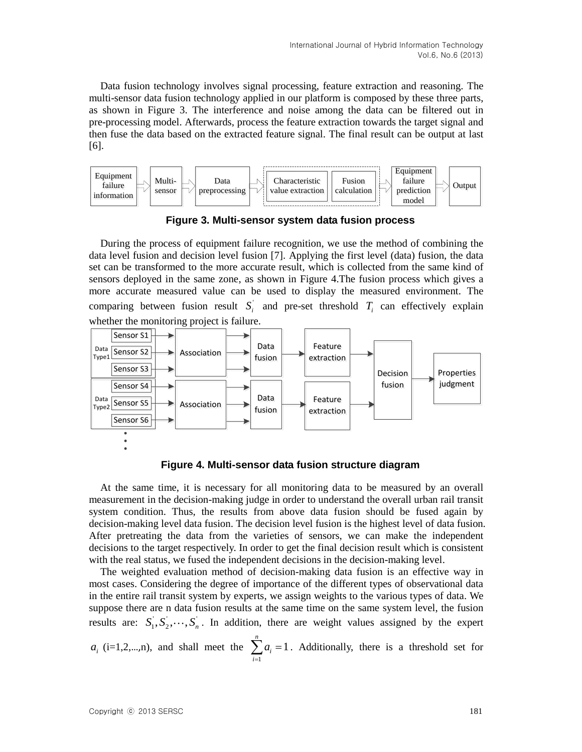Data fusion technology involves signal processing, feature extraction and reasoning. The multi-sensor data fusion technology applied in our platform is composed by these three parts, as shown in Figure 3. The interference and noise among the data can be filtered out in pre-processing model. Afterwards, process the feature extraction towards the target signal and then fuse the data based on the extracted feature signal. The final result can be output at last [6].



**Figure 3. Multi-sensor system data fusion process**

During the process of equipment failure recognition, we use the method of combining the data level fusion and decision level fusion [7]. Applying the first level (data) fusion, the data set can be transformed to the more accurate result, which is collected from the same kind of sensors deployed in the same zone, as shown in Figure 4.The fusion process which gives a more accurate measured value can be used to display the measured environment. The comparing between fusion result  $S_i$  and pre-set threshold  $T_i$  can effectively explain whether the monitoring project is failure.



**Figure 4. Multi-sensor data fusion structure diagram**

At the same time, it is necessary for all monitoring data to be measured by an overall measurement in the decision-making judge in order to understand the overall urban rail transit system condition. Thus, the results from above data fusion should be fused again by decision-making level data fusion. The decision level fusion is the highest level of data fusion. After pretreating the data from the varieties of sensors, we can make the independent decisions to the target respectively. In order to get the final decision result which is consistent with the real status, we fused the independent decisions in the decision-making level.

The weighted evaluation method of decision-making data fusion is an effective way in most cases. Considering the degree of importance of the different types of observational data in the entire rail transit system by experts, we assign weights to the various types of data. We suppose there are n data fusion results at the same time on the same system level, the fusion results are:  $S_1, S_2, \dots, S_n$ . In addition, there are weight values assigned by the expert

 $a_i$  (i=1,2,...,n), and shall meet the 1 1 *n i i a*  $\sum_{i=1}^{n} a_i = 1$ . Additionally, there is a threshold set for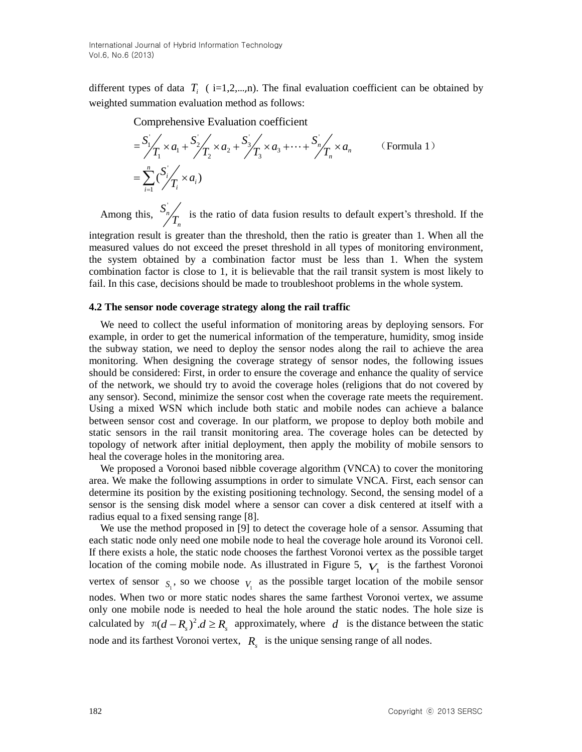different types of data  $T_i$  ( $i=1,2,...,n$ ). The final evaluation coefficient can be obtained by weighted summation evaluation method as follows:

Comprehensive Evaluation coefficient  
\n
$$
= \frac{S_1}{T_1} \times a_1 + \frac{S_2}{T_2} \times a_2 + \frac{S_3}{T_3} \times a_3 + \dots + \frac{S_n}{T_n} \times a_n
$$
 (Formula 1)  
\n
$$
= \sum_{i=1}^n \frac{S_i}{T_i} \times a_i
$$

Among this,  $S_n$ *n S*  $T_{n}$  is the ratio of data fusion results to default expert's threshold. If the

integration result is greater than the threshold, then the ratio is greater than 1. When all the measured values do not exceed the preset threshold in all types of monitoring environment, the system obtained by a combination factor must be less than 1. When the system combination factor is close to 1, it is believable that the rail transit system is most likely to fail. In this case, decisions should be made to troubleshoot problems in the whole system.

#### **4.2 The sensor node coverage strategy along the rail traffic**

We need to collect the useful information of monitoring areas by deploying sensors. For example, in order to get the numerical information of the temperature, humidity, smog inside the subway station, we need to deploy the sensor nodes along the rail to achieve the area monitoring. When designing the coverage strategy of sensor nodes, the following issues should be considered: First, in order to ensure the coverage and enhance the quality of service of the network, we should try to avoid the coverage holes (religions that do not covered by any sensor). Second, minimize the sensor cost when the coverage rate meets the requirement. Using a mixed WSN which include both static and mobile nodes can achieve a balance between sensor cost and coverage. In our platform, we propose to deploy both mobile and static sensors in the rail transit monitoring area. The coverage holes can be detected by topology of network after initial deployment, then apply the mobility of mobile sensors to heal the coverage holes in the monitoring area.

We proposed a Voronoi based nibble coverage algorithm (VNCA) to cover the monitoring area. We make the following assumptions in order to simulate VNCA. First, each sensor can determine its position by the existing positioning technology. Second, the sensing model of a sensor is the sensing disk model where a sensor can cover a disk centered at itself with a radius equal to a fixed sensing range [8].

We use the method proposed in [9] to detect the coverage hole of a sensor. Assuming that each static node only need one mobile node to heal the coverage hole around its Voronoi cell. If there exists a hole, the static node chooses the farthest Voronoi vertex as the possible target location of the coming mobile node. As illustrated in Figure 5,  $V_1$  is the farthest Voronoi vertex of sensor  $S_1$ , so we choose  $V_1$  as the possible target location of the mobile sensor nodes. When two or more static nodes shares the same farthest Voronoi vertex, we assume only one mobile node is needed to heal the hole around the static nodes. The hole size is calculated by  $\pi(d - R_s)^2$ .  $d \ge R_s$  approximately, where d is the distance between the static node and its farthest Voronoi vertex,  $R_s$  is the unique sensing range of all nodes.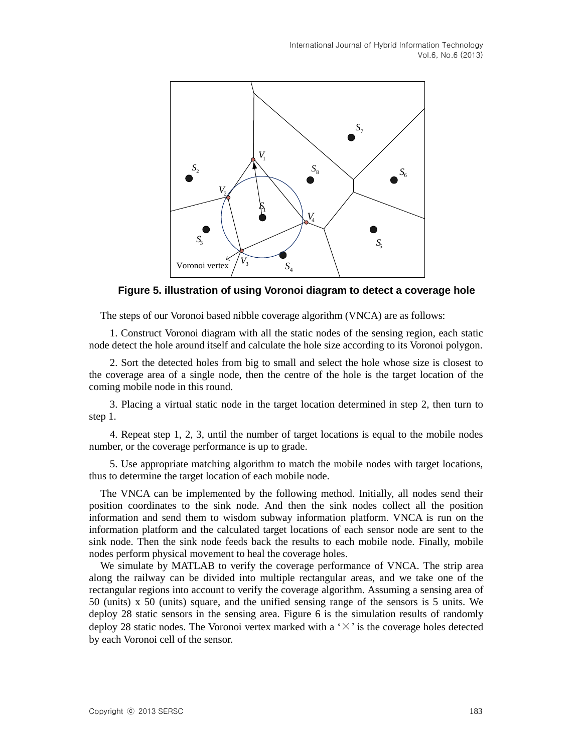

**Figure 5. illustration of using Voronoi diagram to detect a coverage hole**

The steps of our Voronoi based nibble coverage algorithm (VNCA) are as follows:

1. Construct Voronoi diagram with all the static nodes of the sensing region, each static node detect the hole around itself and calculate the hole size according to its Voronoi polygon.

2. Sort the detected holes from big to small and select the hole whose size is closest to the coverage area of a single node, then the centre of the hole is the target location of the coming mobile node in this round.

3. Placing a virtual static node in the target location determined in step 2, then turn to step 1.

4. Repeat step 1, 2, 3, until the number of target locations is equal to the mobile nodes number, or the coverage performance is up to grade.

5. Use appropriate matching algorithm to match the mobile nodes with target locations, thus to determine the target location of each mobile node.

The VNCA can be implemented by the following method. Initially, all nodes send their position coordinates to the sink node. And then the sink nodes collect all the position information and send them to wisdom subway information platform. VNCA is run on the information platform and the calculated target locations of each sensor node are sent to the sink node. Then the sink node feeds back the results to each mobile node. Finally, mobile nodes perform physical movement to heal the coverage holes.

We simulate by MATLAB to verify the coverage performance of VNCA. The strip area along the railway can be divided into multiple rectangular areas, and we take one of the rectangular regions into account to verify the coverage algorithm. Assuming a sensing area of 50 (units) x 50 (units) square, and the unified sensing range of the sensors is 5 units. We deploy 28 static sensors in the sensing area. Figure 6 is the simulation results of randomly deploy 28 static nodes. The Voronoi vertex marked with a ' $\times$ ' is the coverage holes detected by each Voronoi cell of the sensor.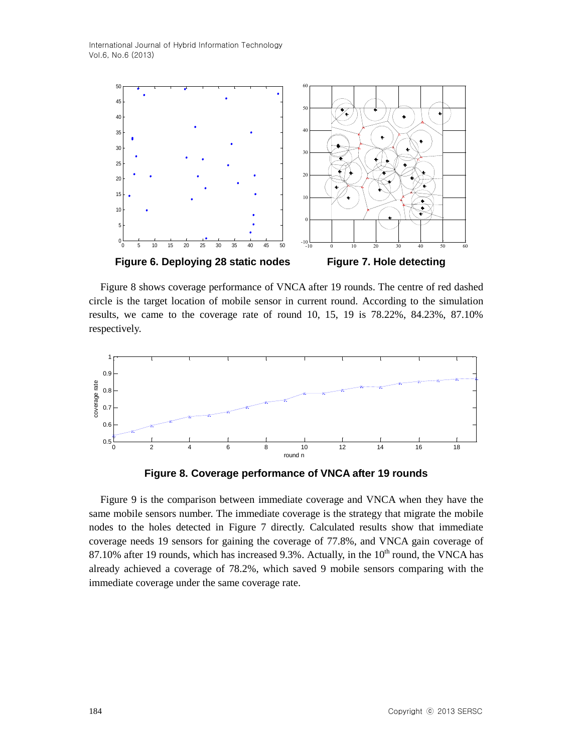

Figure 8 shows coverage performance of VNCA after 19 rounds. The centre of red dashed circle is the target location of mobile sensor in current round. According to the simulation results, we came to the coverage rate of round 10, 15, 19 is 78.22%, 84.23%, 87.10% respectively.



**Figure 8. Coverage performance of VNCA after 19 rounds**

Figure 9 is the comparison between immediate coverage and VNCA when they have the same mobile sensors number. The immediate coverage is the strategy that migrate the mobile nodes to the holes detected in Figure 7 directly. Calculated results show that immediate coverage needs 19 sensors for gaining the coverage of 77.8%, and VNCA gain coverage of 87.10% after 19 rounds, which has increased 9.3%. Actually, in the  $10<sup>th</sup>$  round, the VNCA has already achieved a coverage of 78.2%, which saved 9 mobile sensors comparing with the immediate coverage under the same coverage rate.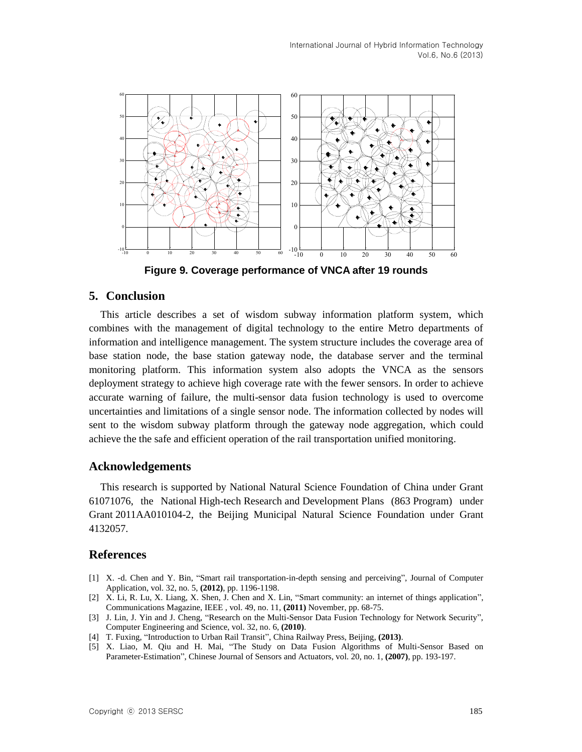

**Figure 9. Coverage performance of VNCA after 19 rounds** 

# **5. Conclusion**

This article describes a set of wisdom subway information platform system, which combines with the management of digital technology to the entire Metro departments of information and intelligence management. The system structure includes the coverage area of base station node, the base station gateway node, the database server and the terminal monitoring platform. This information system also adopts the VNCA as the sensors deployment strategy to achieve high coverage rate with the fewer sensors. In order to achieve accurate warning of failure, the multi-sensor data fusion technology is used to overcome uncertainties and limitations of a single sensor node. The information collected by nodes will sent to the wisdom subway platform through the gateway node aggregation, which could achieve the the safe and efficient operation of the rail transportation unified monitoring.

## **Acknowledgements**

This research is supported by National Natural Science Foundation of China under Grant 61071076, the National High-tech Research and Development Plans (863 Program) under Grant 2011AA010104-2, the Beijing Municipal Natural Science Foundation under Grant 4132057.

### **References**

- [1] X. -d. Chen and Y. Bin, "Smart rail transportation-in-depth sensing and perceiving", Journal of Computer Application, vol. 32, no. 5, **(2012)**, pp. 1196-1198.
- [2] X. Li, R. Lu, X. Liang, X. Shen, J. Chen and X. Lin, "Smart community: an internet of things application", Communications Magazine, IEEE , vol. 49, no. 11, **(2011)** November, pp. 68-75.
- [3] J. Lin, J. Yin and J. Cheng, "Research on the Multi-Sensor Data Fusion Technology for Network Security", Computer Engineering and Science, vol. 32, no. 6, **(2010)**.
- [4] T. Fuxing, "Introduction to Urban Rail Transit", China Railway Press, Beijing, **(2013)**.
- [5] X. Liao, M. Qiu and H. Mai, "The Study on Data Fusion Algorithms of Multi-Sensor Based on Parameter-Estimation", Chinese Journal of Sensors and Actuators, vol. 20, no. 1, **(2007)**, pp. 193-197.